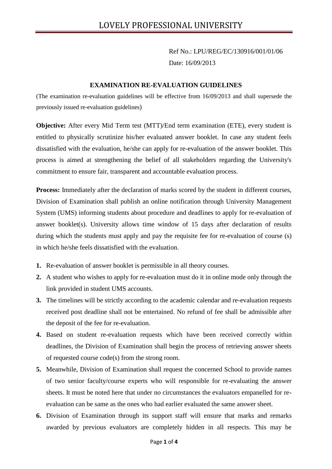Ref No.: LPU/REG/EC/130916/001/01/06 Date: 16/09/2013

## **EXAMINATION RE-EVALUATION GUIDELINES**

(The examination re-evaluation guidelines will be effective from 16/09/2013 and shall supersede the previously issued re-evaluation guidelines)

**Objective:** After every Mid Term test (MTT)/End term examination (ETE), every student is entitled to physically scrutinize his/her evaluated answer booklet. In case any student feels dissatisfied with the evaluation, he/she can apply for re-evaluation of the answer booklet. This process is aimed at strengthening the belief of all stakeholders regarding the University's commitment to ensure fair, transparent and accountable evaluation process.

**Process:** Immediately after the declaration of marks scored by the student in different courses, Division of Examination shall publish an online notification through University Management System (UMS) informing students about procedure and deadlines to apply for re-evaluation of answer booklet(s). University allows time window of 15 days after declaration of results during which the students must apply and pay the requisite fee for re-evaluation of course (s) in which he/she feels dissatisfied with the evaluation.

- **1.** Re-evaluation of answer booklet is permissible in all theory courses.
- **2.** A student who wishes to apply for re-evaluation must do it in online mode only through the link provided in student UMS accounts.
- **3.** The timelines will be strictly according to the academic calendar and re-evaluation requests received post deadline shall not be entertained. No refund of fee shall be admissible after the deposit of the fee for re-evaluation.
- **4.** Based on student re-evaluation requests which have been received correctly within deadlines, the Division of Examination shall begin the process of retrieving answer sheets of requested course code(s) from the strong room.
- **5.** Meanwhile, Division of Examination shall request the concerned School to provide names of two senior faculty/course experts who will responsible for re-evaluating the answer sheets. It must be noted here that under no circumstances the evaluators empanelled for re evaluation can be same as the ones who had earlier evaluated the same answer sheet.
- **6.** Division of Examination through its support staff will ensure that marks and remarks awarded by previous evaluators are completely hidden in all respects. This may be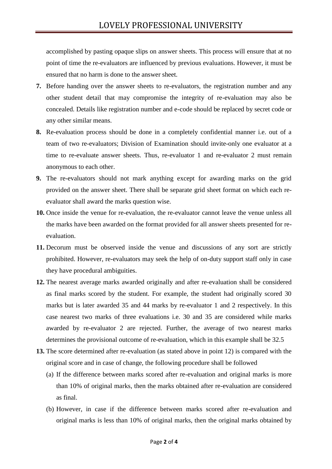accomplished by pasting opaque slips on answer sheets. This process will ensure that at no point of time the re-evaluators are influenced by previous evaluations. However, it must be ensured that no harm is done to the answer sheet.

- **7.** Before handing over the answer sheets to re-evaluators, the registration number and any other student detail that may compromise the integrity of re-evaluation may also be concealed. Details like registration number and e-code should be replaced by secret code or any other similar means.
- **8.** Re-evaluation process should be done in a completely confidential manner i.e. out of a team of two re-evaluators; Division of Examination should invite-only one evaluator at a time to re-evaluate answer sheets. Thus, re-evaluator 1 and re-evaluator 2 must remain anonymous to each other.
- **9.** The re-evaluators should not mark anything except for awarding marks on the grid provided on the answer sheet. There shall be separate grid sheet format on which each re evaluator shall award the marks question wise.
- **10.** Once inside the venue for re-evaluation, the re-evaluator cannot leave the venue unless all the marks have been awarded on the format provided for all answer sheets presented for re evaluation.
- **11.** Decorum must be observed inside the venue and discussions of any sort are strictly prohibited. However, re-evaluators may seek the help of on-duty support staff only in case they have procedural ambiguities.
- **12.** The nearest average marks awarded originally and after re-evaluation shall be considered as final marks scored by the student. For example, the student had originally scored 30 marks but is later awarded 35 and 44 marks by re-evaluator 1 and 2 respectively. In this case nearest two marks of three evaluations i.e. 30 and 35 are considered while marks awarded by re-evaluator 2 are rejected. Further, the average of two nearest marks determines the provisional outcome of re-evaluation, which in this example shall be 32.5
- **13.** The score determined after re-evaluation (as stated above in point 12) is compared with the original score and in case of change, the following procedure shall be followed
	- (a) If the difference between marks scored after re-evaluation and original marks is more than 10% of original marks, then the marks obtained after re-evaluation are considered as final.
	- (b) However, in case if the difference between marks scored after re-evaluation and original marks is less than 10% of original marks, then the original marks obtained by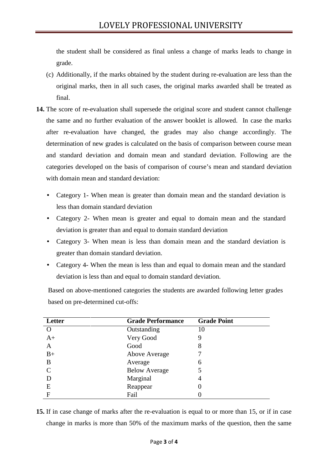the student shall be considered as final unless a change of marks leads to change in grade.

- (c) Additionally, if the marks obtained by the student during re-evaluation are less than the original marks, then in all such cases, the original marks awarded shall be treated as final.
- **14.** The score of re-evaluation shall supersede the original score and student cannot challenge the same and no further evaluation of the answer booklet is allowed. In case the marks after re-evaluation have changed, the grades may also change accordingly. The determination of new grades is calculated on the basis of comparison between course mean and standard deviation and domain mean and standard deviation. Following are the categories developed on the basis of comparison of course's mean and standard deviation with domain mean and standard deviation:
	- Category 1- When mean is greater than domain mean and the standard deviation is less than domain standard deviation
	- Category 2- When mean is greater and equal to domain mean and the standard deviation is greater than and equal to domain standard deviation
	- Category 3- When mean is less than domain mean and the standard deviation is greater than domain standard deviation.
	- Category 4- When the mean is less than and equal to domain mean and the standard deviation is less than and equal to domain standard deviation.

Based on above-mentioned categories the students are awarded following letter grades based on pre-determined cut-offs:

| Letter | <b>Grade Performance</b> | <b>Grade Point</b> |
|--------|--------------------------|--------------------|
|        | Outstanding              | 10                 |
| $A+$   | Very Good                |                    |
| A      | Good                     | 8                  |
| $B+$   | Above Average            |                    |
| B      | Average                  | 6                  |
|        | <b>Below Average</b>     |                    |
|        | Marginal                 | 4                  |
| E      | Reappear                 |                    |
| F      | Fail                     |                    |

**15.** If in case change of marks after the re-evaluation is equal to or more than 15, or if in case change in marks is more than 50% of the maximum marks of the question, then the same